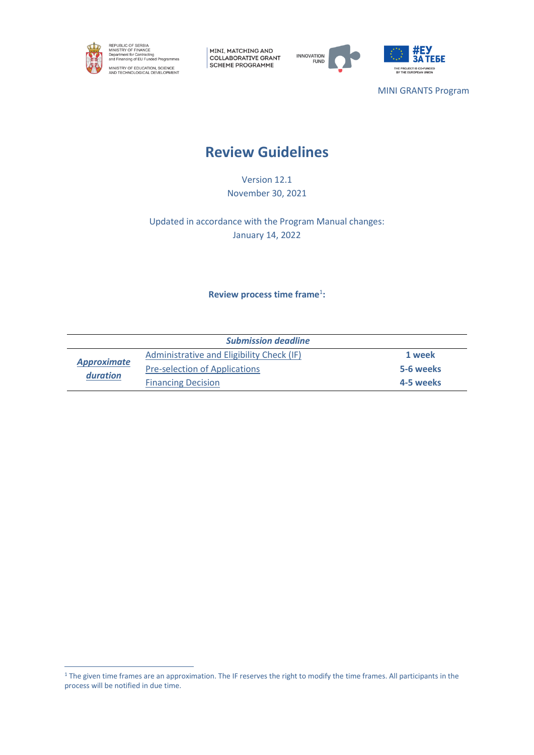

MINI, MATCHING AND COLLABORATIVE GRANT SCHEME PROGRAMME





MINI GRANTS Program

# **Review Guidelines**

Version 12.1 November 30, 2021

Updated in accordance with the Program Manual changes: January 14, 2022

**Review process time frame**<sup>1</sup> **:**

| <b>Submission deadline</b>     |                                           |           |  |  |
|--------------------------------|-------------------------------------------|-----------|--|--|
| <b>Approximate</b><br>duration | Administrative and Eligibility Check (IF) | 1 week    |  |  |
|                                | <b>Pre-selection of Applications</b>      | 5-6 weeks |  |  |
|                                | <b>Financing Decision</b>                 | 4-5 weeks |  |  |

<sup>&</sup>lt;sup>1</sup> The given time frames are an approximation. The IF reserves the right to modify the time frames. All participants in the process will be notified in due time.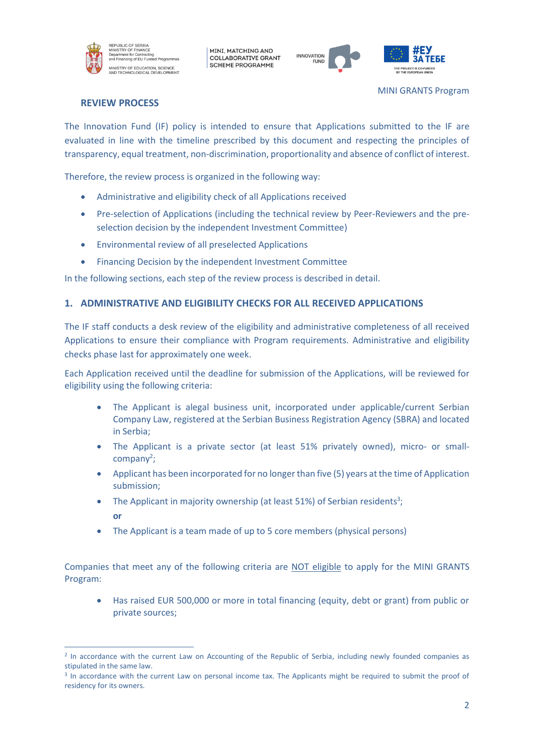

MINI, MATCHING AND **COLLABORATIVE GRANT SCHEME PROGRAMME** 





# **REVIEW PROCESS**

The Innovation Fund (IF) policy is intended to ensure that Applications submitted to the IF are evaluated in line with the timeline prescribed by this document and respecting the principles of transparency, equal treatment, non-discrimination, proportionality and absence of conflict of interest.

Therefore, the review process is organized in the following way:

- Administrative and eligibility check of all Applications received
- Pre-selection of Applications (including the technical review by Peer-Reviewers and the preselection decision by the independent Investment Committee)
- Environmental review of all preselected Applications
- Financing Decision by the independent Investment Committee

In the following sections, each step of the review process is described in detail.

## **1. ADMINISTRATIVE AND ELIGIBILITY CHECKS FOR ALL RECEIVED APPLICATIONS**

The IF staff conducts a desk review of the eligibility and administrative completeness of all received Applications to ensure their compliance with Program requirements. Administrative and eligibility checks phase last for approximately one week.

Each Application received until the deadline for submission of the Applications, will be reviewed for eligibility using the following criteria:

- The Applicant is alegal business unit, incorporated under applicable/current Serbian Company Law, registered at the Serbian Business Registration Agency (SBRA) and located in Serbia;
- The Applicant is a private sector (at least 51% privately owned), micro- or smallcompany<sup>2</sup>;
- Applicant has been incorporated for no longer than five (5) years at the time of Application submission;
- The Applicant in majority ownership (at least 51%) of Serbian residents<sup>3</sup>; **or**
- The Applicant is a team made of up to 5 core members (physical persons)

Companies that meet any of the following criteria are NOT eligible to apply for the MINI GRANTS Program:

• Has raised EUR 500,000 or more in total financing (equity, debt or grant) from public or private sources;

<sup>&</sup>lt;sup>2</sup> In accordance with the current Law on Accounting of the Republic of Serbia, including newly founded companies as stipulated in the same law.

<sup>&</sup>lt;sup>3</sup> In accordance with the current Law on personal income tax. The Applicants might be required to submit the proof of residency for its owners.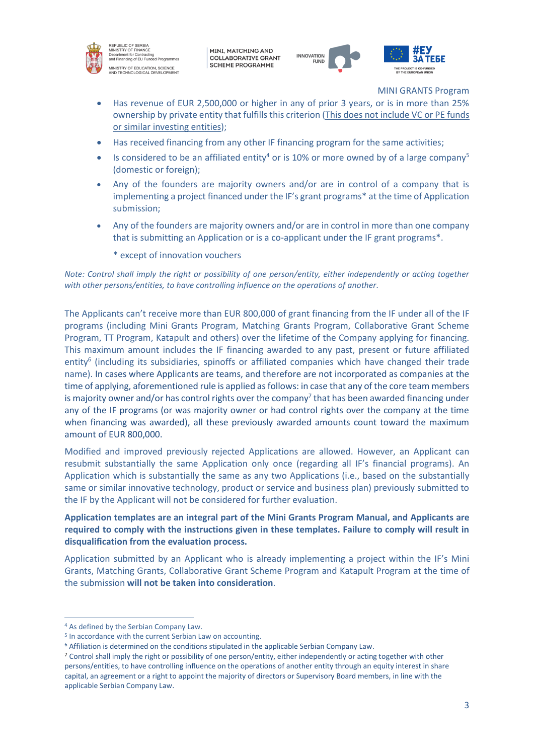

REPUBLIC OF SERBIA<br>MINISTRY OF FINANCE MINISTRY OF FINANCE<br>Department for Contracting<br>and Financing of EU Funded Programr MINISTRY OF EDUCATION, SCIENCE<br>AND TECHNOLOGICAL DEVELOPMENT

MINI, MATCHING AND **COLLABORATIVE GRANT SCHEME PROGRAMME** 





MINI GRANTS Program

- Has revenue of EUR 2,500,000 or higher in any of prior 3 years, or is in more than 25% ownership by private entity that fulfills this criterion (This does not include VC or PE funds or similar investing entities);
- Has received financing from any other IF financing program for the same activities;
- Is considered to be an affiliated entity<sup>4</sup> or is 10% or more owned by of a large company<sup>5</sup> (domestic or foreign);
- Any of the founders are majority owners and/or are in control of a company that is implementing a project financed under the IF's grant programs\* at the time of Application submission;
- Any of the founders are majority owners and/or are in control in more than one company that is submitting an Application or is a co-applicant under the IF grant programs\*.

\* except of innovation vouchers

*Note: Control shall imply the right or possibility of one person/entity, either independently or acting together with other persons/entities, to have controlling influence on the operations of another.*

The Applicants can't receive more than EUR 800,000 of grant financing from the IF under all of the IF programs (including Mini Grants Program, Matching Grants Program, Collaborative Grant Scheme Program, TT Program, Katapult and others) over the lifetime of the Company applying for financing. This maximum amount includes the IF financing awarded to any past, present or future affiliated entity<sup>6</sup> (including its subsidiaries, spinoffs or affiliated companies which have changed their trade name). In cases where Applicants are teams, and therefore are not incorporated as companies at the time of applying, aforementioned rule is applied as follows: in case that any of the core team members is majority owner and/or has control rights over the company<sup>7</sup> that has been awarded financing under any of the IF programs (or was majority owner or had control rights over the company at the time when financing was awarded), all these previously awarded amounts count toward the maximum amount of EUR 800,000.

Modified and improved previously rejected Applications are allowed. However, an Applicant can resubmit substantially the same Application only once (regarding all IF's financial programs). An Application which is substantially the same as any two Applications (i.e., based on the substantially same or similar innovative technology, product or service and business plan) previously submitted to the IF by the Applicant will not be considered for further evaluation.

# **Application templates are an integral part of the Mini Grants Program Manual, and Applicants are required to comply with the instructions given in these templates. Failure to comply will result in disqualification from the evaluation process.**

Application submitted by an Applicant who is already implementing a project within the IF's Mini Grants, Matching Grants, Collaborative Grant Scheme Program and Katapult Program at the time of the submission **will not be taken into consideration**.

<sup>4</sup> As defined by the Serbian Company Law.

<sup>5</sup> In accordance with the current Serbian Law on accounting.

<sup>6</sup> Affiliation is determined on the conditions stipulated in the applicable Serbian Company Law.

<sup>7</sup> Control shall imply the right or possibility of one person/entity, either independently or acting together with other persons/entities, to have controlling influence on the operations of another entity through an equity interest in share capital, an agreement or a right to appoint the majority of directors or Supervisory Board members, in line with the applicable Serbian Company Law.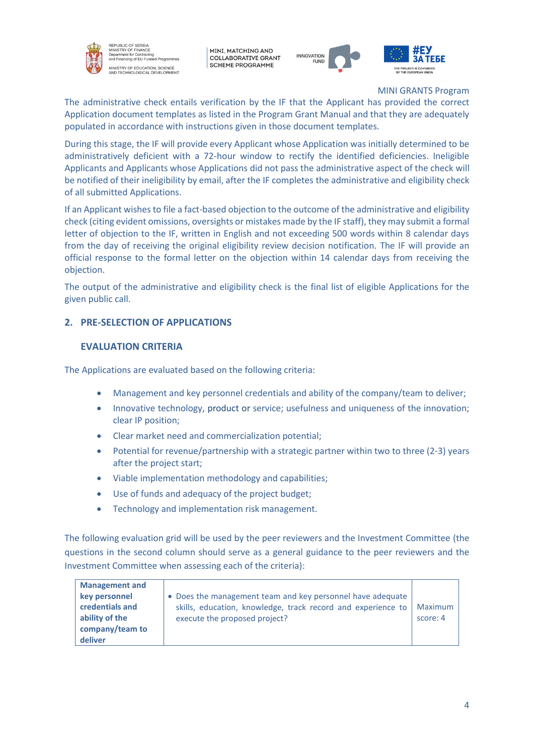

EPUBLIC OF SERBIA<br>NISTRY OF FINANCE n Orininu<br>Int for Cor **Superintent for Sontracting**<br>and Financing of EU Funded Program **IINISTRY OF EDUCATION, SCIENCE<br>ND TECHNOLOGICAL DEVELOPMENT** 

MINI, MATCHING AND **COLLABORATIVE GRANT SCHEME PROGRAMME** 





MINI GRANTS Program

The administrative check entails verification by the IF that the Applicant has provided the correct Application document templates as listed in the Program Grant Manual and that they are adequately populated in accordance with instructions given in those document templates.

During this stage, the IF will provide every Applicant whose Application was initially determined to be administratively deficient with a 72-hour window to rectify the identified deficiencies. Ineligible Applicants and Applicants whose Applications did not pass the administrative aspect of the check will be notified of their ineligibility by email, after the IF completes the administrative and eligibility check of all submitted Applications.

If an Applicant wishes to file a fact-based objection to the outcome of the administrative and eligibility check (citing evident omissions, oversights or mistakes made by the IF staff), they may submit a formal letter of objection to the IF, written in English and not exceeding 500 words within 8 calendar days from the day of receiving the original eligibility review decision notification. The IF will provide an official response to the formal letter on the objection within 14 calendar days from receiving the objection.

The output of the administrative and eligibility check is the final list of eligible Applications for the given public call.

# **2. PRE-SELECTION OF APPLICATIONS**

# **EVALUATION CRITERIA**

The Applications are evaluated based on the following criteria:

- Management and key personnel credentials and ability of the company/team to deliver;
- Innovative technology, product or service; usefulness and uniqueness of the innovation; clear IP position;
- Clear market need and commercialization potential;
- Potential for revenue/partnership with a strategic partner within two to three (2-3) years after the project start;
- Viable implementation methodology and capabilities;
- Use of funds and adequacy of the project budget;
- Technology and implementation risk management.

The following evaluation grid will be used by the peer reviewers and the Investment Committee (the questions in the second column should serve as a general guidance to the peer reviewers and the Investment Committee when assessing each of the criteria):

| <b>Management and</b><br>key personnel<br>credentials and<br>ability of the<br>company/team to<br>deliver | • Does the management team and key personnel have adequate<br>skills, education, knowledge, track record and experience to<br>execute the proposed project? | Maximum<br>score: 4 |
|-----------------------------------------------------------------------------------------------------------|-------------------------------------------------------------------------------------------------------------------------------------------------------------|---------------------|
|-----------------------------------------------------------------------------------------------------------|-------------------------------------------------------------------------------------------------------------------------------------------------------------|---------------------|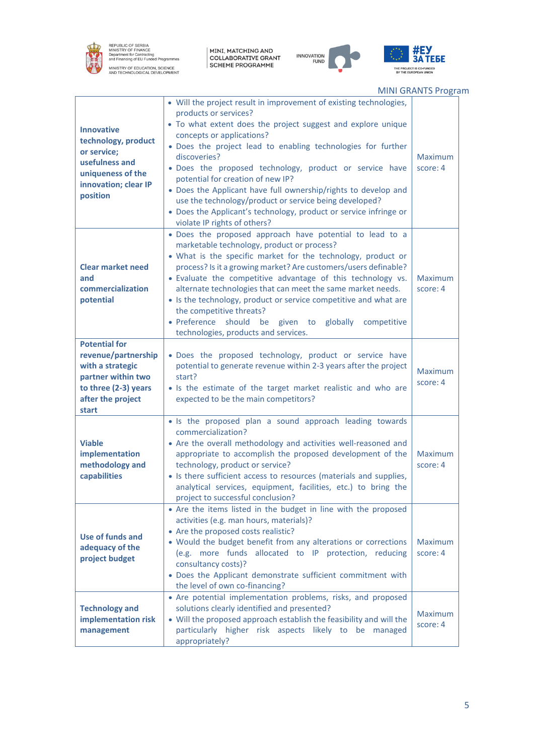

.

REPUBLIC OF SERBIA<br>MINISTRY OF FINANCE<br>Department for Contracting<br>and Financing of EU Funded Programmes MINISTRY OF EDUCATION, SCIENCE<br>AND TECHNOLOGICAL DEVELOPMENT

MINI, MATCHING AND<br>COLLABORATIVE GRANT<br>SCHEME PROGRAMME





MINI GRANTS Program

| <b>Innovative</b><br>technology, product<br>or service;<br>usefulness and<br>uniqueness of the<br>innovation; clear IP<br>position          | • Will the project result in improvement of existing technologies,<br>products or services?<br>• To what extent does the project suggest and explore unique<br>concepts or applications?<br>. Does the project lead to enabling technologies for further<br>discoveries?<br>· Does the proposed technology, product or service have<br>potential for creation of new IP?<br>• Does the Applicant have full ownership/rights to develop and<br>use the technology/product or service being developed?<br>• Does the Applicant's technology, product or service infringe or<br>violate IP rights of others? | Maximum<br>score: 4        |
|---------------------------------------------------------------------------------------------------------------------------------------------|-----------------------------------------------------------------------------------------------------------------------------------------------------------------------------------------------------------------------------------------------------------------------------------------------------------------------------------------------------------------------------------------------------------------------------------------------------------------------------------------------------------------------------------------------------------------------------------------------------------|----------------------------|
| <b>Clear market need</b><br>and<br>commercialization<br>potential                                                                           | . Does the proposed approach have potential to lead to a<br>marketable technology, product or process?<br>• What is the specific market for the technology, product or<br>process? Is it a growing market? Are customers/users definable?<br>• Evaluate the competitive advantage of this technology vs.<br>alternate technologies that can meet the same market needs.<br>• Is the technology, product or service competitive and what are<br>the competitive threats?<br>· Preference should<br>be<br>given to<br>globally<br>competitive<br>technologies, products and services.                       | Maximum<br>score: 4        |
| <b>Potential for</b><br>revenue/partnership<br>with a strategic<br>partner within two<br>to three (2-3) years<br>after the project<br>start | · Does the proposed technology, product or service have<br>potential to generate revenue within 2-3 years after the project<br>start?<br>• Is the estimate of the target market realistic and who are<br>expected to be the main competitors?                                                                                                                                                                                                                                                                                                                                                             | Maximum<br>score: 4        |
| <b>Viable</b><br>implementation<br>methodology and<br>capabilities                                                                          | • Is the proposed plan a sound approach leading towards<br>commercialization?<br>• Are the overall methodology and activities well-reasoned and<br>appropriate to accomplish the proposed development of the<br>technology, product or service?<br>• Is there sufficient access to resources (materials and supplies,<br>analytical services, equipment, facilities, etc.) to bring the<br>project to successful conclusion?                                                                                                                                                                              | Maximum<br>score: 4        |
| Use of funds and<br>adequacy of the<br>project budget                                                                                       | • Are the items listed in the budget in line with the proposed<br>activities (e.g. man hours, materials)?<br>• Are the proposed costs realistic?<br>• Would the budget benefit from any alterations or corrections<br>(e.g. more funds allocated to IP protection, reducing<br>consultancy costs)?<br>. Does the Applicant demonstrate sufficient commitment with<br>the level of own co-financing?                                                                                                                                                                                                       | <b>Maximum</b><br>score: 4 |
| <b>Technology and</b><br>implementation risk<br>management                                                                                  | • Are potential implementation problems, risks, and proposed<br>solutions clearly identified and presented?<br>• Will the proposed approach establish the feasibility and will the<br>particularly higher risk aspects likely to be managed<br>appropriately?                                                                                                                                                                                                                                                                                                                                             | <b>Maximum</b><br>score: 4 |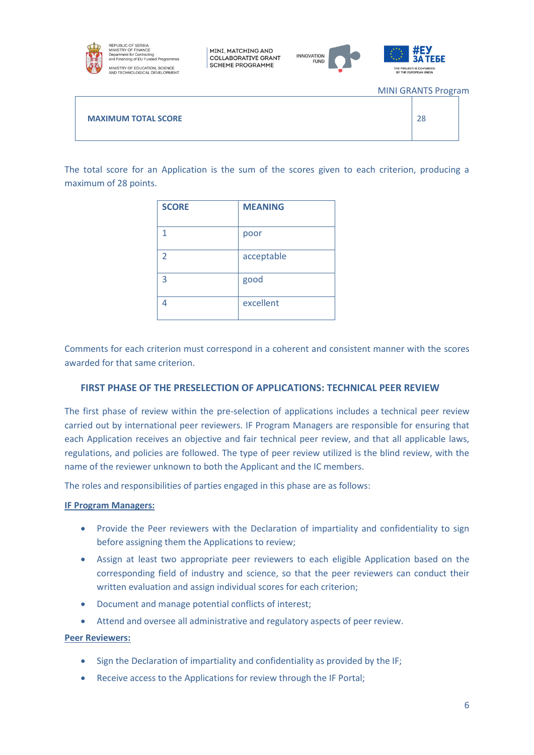

EPUBLIC OF SERBIA<br>NISTRY OF FINANCE minionner or Finance<br>Department for Contracting<br>and Financing of EU Funded Programmes .<br>INISTRY OF EDUCATION, SCIENCE<br>ND TECHNOLOGICAL DEVELOPMENT

MINI, MATCHING AND **COLLABORATIVE GRANT SCHEME PROGRAMME** 





MINI GRANTS Program

**MAXIMUM TOTAL SCORE** 28

The total score for an Application is the sum of the scores given to each criterion, producing a maximum of 28 points.

| <b>SCORE</b>   | <b>MEANING</b> |
|----------------|----------------|
| 1              | poor           |
| $\overline{2}$ | acceptable     |
| 3              | good           |
| 4              | excellent      |

Comments for each criterion must correspond in a coherent and consistent manner with the scores awarded for that same criterion.

# **FIRST PHASE OF THE PRESELECTION OF APPLICATIONS: TECHNICAL PEER REVIEW**

The first phase of review within the pre-selection of applications includes a technical peer review carried out by international peer reviewers. IF Program Managers are responsible for ensuring that each Application receives an objective and fair technical peer review, and that all applicable laws, regulations, and policies are followed. The type of peer review utilized is the blind review, with the name of the reviewer unknown to both the Applicant and the IC members.

The roles and responsibilities of parties engaged in this phase are as follows:

#### **IF Program Managers:**

- Provide the Peer reviewers with the Declaration of impartiality and confidentiality to sign before assigning them the Applications to review;
- Assign at least two appropriate peer reviewers to each eligible Application based on the corresponding field of industry and science, so that the peer reviewers can conduct their written evaluation and assign individual scores for each criterion;
- Document and manage potential conflicts of interest;
- Attend and oversee all administrative and regulatory aspects of peer review.

#### **Peer Reviewers:**

- Sign the Declaration of impartiality and confidentiality as provided by the IF;
- Receive access to the Applications for review through the IF Portal;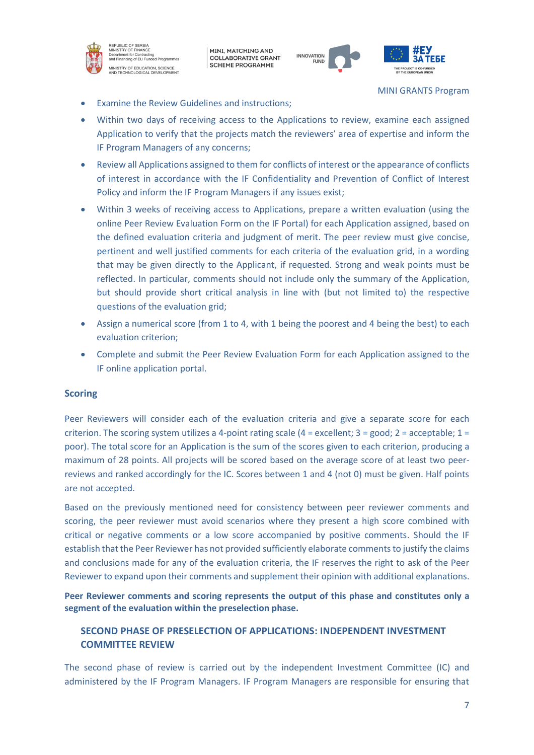

REPUBLIC OF SERBIA<br>MINISTRY OF FINANCE Department for Philodetes<br>Department for Contracting<br>and Financing of EU Funded Programmes MINISTRY OF EDUCATION, SCIENCE<br>AND TECHNOLOGICAL DEVELOPMENT

MINI, MATCHING AND **COLLABORATIVE GRANT SCHEME PROGRAMME** 





MINI GRANTS Program

- **Examine the Review Guidelines and instructions;**
- Within two days of receiving access to the Applications to review, examine each assigned Application to verify that the projects match the reviewers' area of expertise and inform the IF Program Managers of any concerns;
- Review all Applications assigned to them for conflicts of interest or the appearance of conflicts of interest in accordance with the IF Confidentiality and Prevention of Conflict of Interest Policy and inform the IF Program Managers if any issues exist;
- Within 3 weeks of receiving access to Applications, prepare a written evaluation (using the online Peer Review Evaluation Form on the IF Portal) for each Application assigned, based on the defined evaluation criteria and judgment of merit. The peer review must give concise, pertinent and well justified comments for each criteria of the evaluation grid, in a wording that may be given directly to the Applicant, if requested. Strong and weak points must be reflected. In particular, comments should not include only the summary of the Application, but should provide short critical analysis in line with (but not limited to) the respective questions of the evaluation grid;
- Assign a numerical score (from 1 to 4, with 1 being the poorest and 4 being the best) to each evaluation criterion;
- Complete and submit the Peer Review Evaluation Form for each Application assigned to the IF online application portal.

# **Scoring**

Peer Reviewers will consider each of the evaluation criteria and give a separate score for each criterion. The scoring system utilizes a 4-point rating scale  $(4 = \text{excellent}; 3 = \text{good}; 2 = \text{acceptable}; 1 = \text{right})$ poor). The total score for an Application is the sum of the scores given to each criterion, producing a maximum of 28 points. All projects will be scored based on the average score of at least two peerreviews and ranked accordingly for the IC. Scores between 1 and 4 (not 0) must be given. Half points are not accepted.

Based on the previously mentioned need for consistency between peer reviewer comments and scoring, the peer reviewer must avoid scenarios where they present a high score combined with critical or negative comments or a low score accompanied by positive comments. Should the IF establish that the Peer Reviewer has not provided sufficiently elaborate comments to justify the claims and conclusions made for any of the evaluation criteria, the IF reserves the right to ask of the Peer Reviewer to expand upon their comments and supplement their opinion with additional explanations.

**Peer Reviewer comments and scoring represents the output of this phase and constitutes only a segment of the evaluation within the preselection phase.**

# **SECOND PHASE OF PRESELECTION OF APPLICATIONS: INDEPENDENT INVESTMENT COMMITTEE REVIEW**

The second phase of review is carried out by the independent Investment Committee (IC) and administered by the IF Program Managers. IF Program Managers are responsible for ensuring that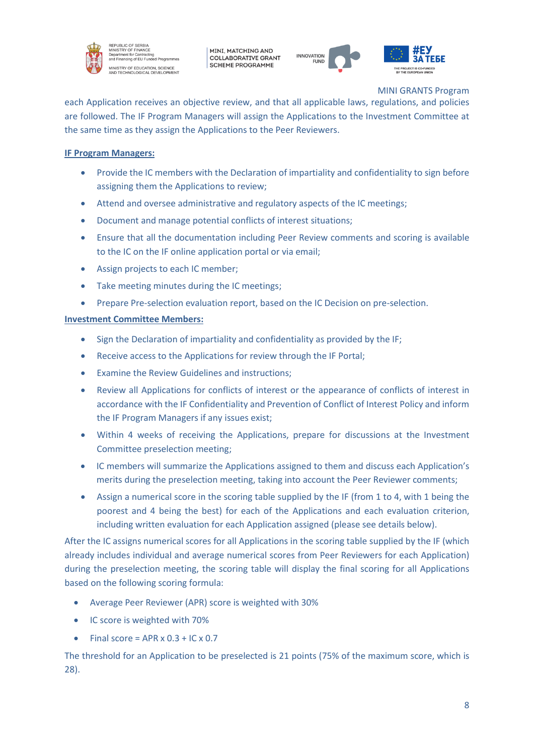

EPUBLIC OF SERBIA<br>INISTRY OF FINANCE n Orininu<br>Int for Cor **Superintent for Sontracting**<br>and Financing of EU Funded Program **IINISTRY OF EDUCATION, SCIENCE<br>ND TECHNOLOGICAL DEVELOPMENT** 

MINI, MATCHING AND **COLLABORATIVE GRANT SCHEME PROGRAMME** 





MINI GRANTS Program

each Application receives an objective review, and that all applicable laws, regulations, and policies are followed. The IF Program Managers will assign the Applications to the Investment Committee at the same time as they assign the Applications to the Peer Reviewers.

# **IF Program Managers:**

- Provide the IC members with the Declaration of impartiality and confidentiality to sign before assigning them the Applications to review;
- Attend and oversee administrative and regulatory aspects of the IC meetings;
- Document and manage potential conflicts of interest situations;
- Ensure that all the documentation including Peer Review comments and scoring is available to the IC on the IF online application portal or via email;
- Assign projects to each IC member;
- Take meeting minutes during the IC meetings;
- Prepare Pre-selection evaluation report, based on the IC Decision on pre-selection.

## **Investment Committee Members:**

- Sign the Declaration of impartiality and confidentiality as provided by the IF;
- Receive access to the Applications for review through the IF Portal;
- Examine the Review Guidelines and instructions;
- Review all Applications for conflicts of interest or the appearance of conflicts of interest in accordance with the IF Confidentiality and Prevention of Conflict of Interest Policy and inform the IF Program Managers if any issues exist;
- Within 4 weeks of receiving the Applications, prepare for discussions at the Investment Committee preselection meeting;
- IC members will summarize the Applications assigned to them and discuss each Application's merits during the preselection meeting, taking into account the Peer Reviewer comments;
- Assign a numerical score in the scoring table supplied by the IF (from 1 to 4, with 1 being the poorest and 4 being the best) for each of the Applications and each evaluation criterion, including written evaluation for each Application assigned (please see details below).

After the IC assigns numerical scores for all Applications in the scoring table supplied by the IF (which already includes individual and average numerical scores from Peer Reviewers for each Application) during the preselection meeting, the scoring table will display the final scoring for all Applications based on the following scoring formula:

- Average Peer Reviewer (APR) score is weighted with 30%
- IC score is weighted with 70%
- Final score = APR  $\times$  0.3 + IC  $\times$  0.7

The threshold for an Application to be preselected is 21 points (75% of the maximum score, which is 28).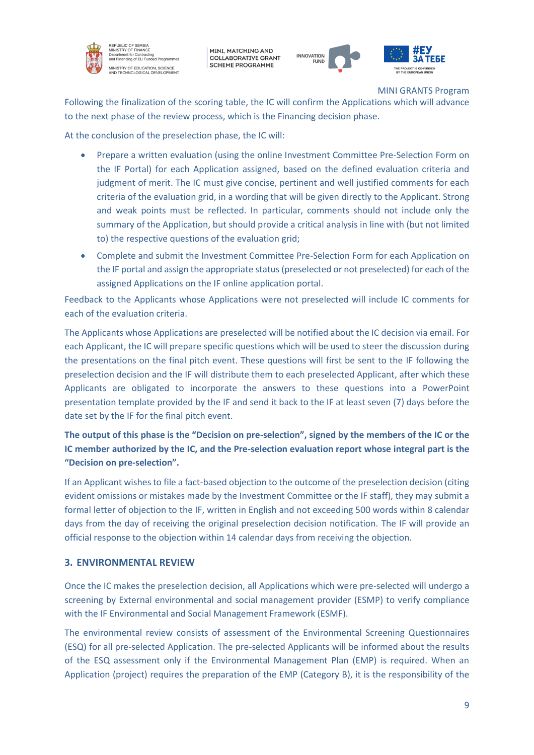

EPUBLIC OF SERBIA<br>NISTRY OF FINANCE nt for Co epartment for contracting<br>and Financing of EU Funded Programs **MINISTRY OF EDUCATION, SCIENCE<br>NND TECHNOLOGICAL DEVELOPMENT** 

MINI, MATCHING AND **COLLABORATIVE GRANT SCHEME PROGRAMME** 



MINI GRANTS Program

Following the finalization of the scoring table, the IC will confirm the Applications which will advance to the next phase of the review process, which is the Financing decision phase.

At the conclusion of the preselection phase, the IC will:

- Prepare a written evaluation (using the online Investment Committee Pre-Selection Form on the IF Portal) for each Application assigned, based on the defined evaluation criteria and judgment of merit. The IC must give concise, pertinent and well justified comments for each criteria of the evaluation grid, in a wording that will be given directly to the Applicant. Strong and weak points must be reflected. In particular, comments should not include only the summary of the Application, but should provide a critical analysis in line with (but not limited to) the respective questions of the evaluation grid;
- Complete and submit the Investment Committee Pre-Selection Form for each Application on the IF portal and assign the appropriate status (preselected or not preselected) for each of the assigned Applications on the IF online application portal.

Feedback to the Applicants whose Applications were not preselected will include IC comments for each of the evaluation criteria.

The Applicants whose Applications are preselected will be notified about the IC decision via email. For each Applicant, the IC will prepare specific questions which will be used to steer the discussion during the presentations on the final pitch event. These questions will first be sent to the IF following the preselection decision and the IF will distribute them to each preselected Applicant, after which these Applicants are obligated to incorporate the answers to these questions into a PowerPoint presentation template provided by the IF and send it back to the IF at least seven (7) days before the date set by the IF for the final pitch event.

# **The output of this phase is the "Decision on pre-selection", signed by the members of the IC or the IC member authorized by the IC, and the Pre-selection evaluation report whose integral part is the "Decision on pre-selection".**

If an Applicant wishes to file a fact-based objection to the outcome of the preselection decision (citing evident omissions or mistakes made by the Investment Committee or the IF staff), they may submit a formal letter of objection to the IF, written in English and not exceeding 500 words within 8 calendar days from the day of receiving the original preselection decision notification. The IF will provide an official response to the objection within 14 calendar days from receiving the objection.

# **3. ENVIRONMENTAL REVIEW**

Once the IC makes the preselection decision, all Applications which were pre-selected will undergo a screening by External environmental and social management provider (ESMP) to verify compliance with the IF Environmental and Social Management Framework (ESMF).

The environmental review consists of assessment of the Environmental Screening Questionnaires (ESQ) for all pre-selected Application. The pre-selected Applicants will be informed about the results of the ESQ assessment only if the Environmental Management Plan (EMP) is required. When an Application (project) requires the preparation of the EMP (Category B), it is the responsibility of the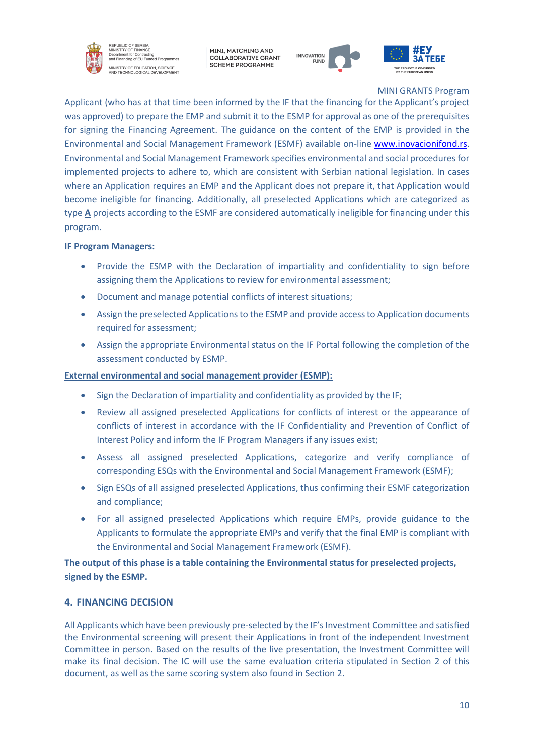

REPUBLIC OF SERBIA<br>MINISTRY OF FINANCE minionner or Frinchion<br>Department for Contracting<br>Ind Financing of EU Funded Programr **MINISTRY OF EDUCATION, SCIENCE<br>NND TECHNOLOGICAL DEVELOPMENT** 

MINI, MATCHING AND **COLLABORATIVE GRANT SCHEME PROGRAMME** 



MINI GRANTS Program

Applicant (who has at that time been informed by the IF that the financing for the Applicant's project was approved) to prepare the EMP and submit it to the ESMP for approval as one of the prerequisites for signing the Financing Agreement. The guidance on the content of the EMP is provided in the Environmental and Social Management Framework (ESMF) available on-line [www.inovacionifond.rs.](http://www.inovacionifond.rs/) Environmental and Social Management Framework specifies environmental and social procedures for implemented projects to adhere to, which are consistent with Serbian national legislation. In cases where an Application requires an EMP and the Applicant does not prepare it, that Application would become ineligible for financing. Additionally, all preselected Applications which are categorized as type **A** projects according to the ESMF are considered automatically ineligible for financing under this program.

# **IF Program Managers:**

- Provide the ESMP with the Declaration of impartiality and confidentiality to sign before assigning them the Applications to review for environmental assessment;
- Document and manage potential conflicts of interest situations;
- Assign the preselected Applications to the ESMP and provide access to Application documents required for assessment;
- Assign the appropriate Environmental status on the IF Portal following the completion of the assessment conducted by ESMP.

## **External environmental and social management provider (ESMP):**

- Sign the Declaration of impartiality and confidentiality as provided by the IF;
- Review all assigned preselected Applications for conflicts of interest or the appearance of conflicts of interest in accordance with the IF Confidentiality and Prevention of Conflict of Interest Policy and inform the IF Program Managers if any issues exist;
- Assess all assigned preselected Applications, categorize and verify compliance of corresponding ESQs with the Environmental and Social Management Framework (ESMF);
- Sign ESQs of all assigned preselected Applications, thus confirming their ESMF categorization and compliance;
- For all assigned preselected Applications which require EMPs, provide guidance to the Applicants to formulate the appropriate EMPs and verify that the final EMP is compliant with the Environmental and Social Management Framework (ESMF).

**The output of this phase is a table containing the Environmental status for preselected projects, signed by the ESMP.**

# **4. FINANCING DECISION**

All Applicants which have been previously pre-selected by the IF's Investment Committee and satisfied the Environmental screening will present their Applications in front of the independent Investment Committee in person. Based on the results of the live presentation, the Investment Committee will make its final decision. The IC will use the same evaluation criteria stipulated in Section 2 of this document, as well as the same scoring system also found in Section 2.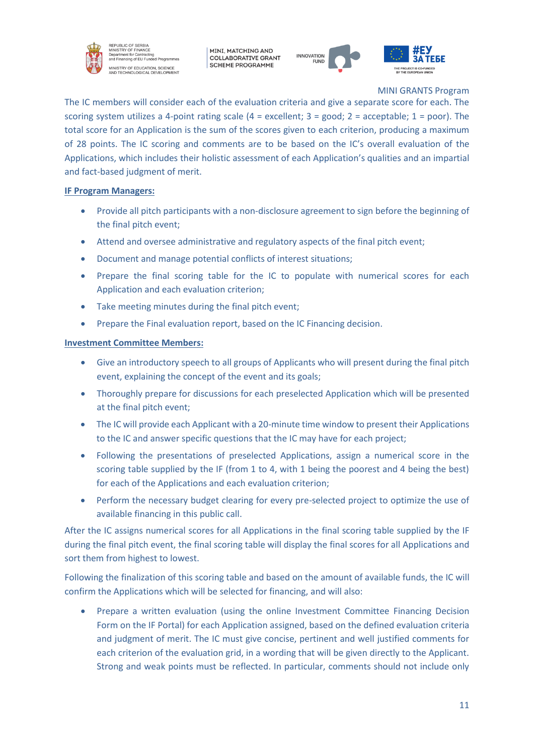

EPUBLIC OF SERBIA<br>NISTRY OF FINANCE nt for Co **Superintent for Contracting**<br>and Financing of EU Funded Program MINISTRY OF EDUCATION, SCIENCE<br>NND TECHNOLOGICAL DEVELOPMENT

MINI, MATCHING AND **COLLABORATIVE GRANT SCHEME PROGRAMME** 



MINI GRANTS Program

The IC members will consider each of the evaluation criteria and give a separate score for each. The scoring system utilizes a 4-point rating scale (4 = excellent; 3 = good; 2 = acceptable; 1 = poor). The total score for an Application is the sum of the scores given to each criterion, producing a maximum of 28 points. The IC scoring and comments are to be based on the IC's overall evaluation of the Applications, which includes their holistic assessment of each Application's qualities and an impartial and fact-based judgment of merit.

# **IF Program Managers:**

- Provide all pitch participants with a non-disclosure agreement to sign before the beginning of the final pitch event;
- Attend and oversee administrative and regulatory aspects of the final pitch event;
- Document and manage potential conflicts of interest situations;
- Prepare the final scoring table for the IC to populate with numerical scores for each Application and each evaluation criterion;
- Take meeting minutes during the final pitch event;
- Prepare the Final evaluation report, based on the IC Financing decision.

## **Investment Committee Members:**

- Give an introductory speech to all groups of Applicants who will present during the final pitch event, explaining the concept of the event and its goals;
- Thoroughly prepare for discussions for each preselected Application which will be presented at the final pitch event;
- The IC will provide each Applicant with a 20-minute time window to present their Applications to the IC and answer specific questions that the IC may have for each project;
- Following the presentations of preselected Applications, assign a numerical score in the scoring table supplied by the IF (from 1 to 4, with 1 being the poorest and 4 being the best) for each of the Applications and each evaluation criterion;
- Perform the necessary budget clearing for every pre-selected project to optimize the use of available financing in this public call.

After the IC assigns numerical scores for all Applications in the final scoring table supplied by the IF during the final pitch event, the final scoring table will display the final scores for all Applications and sort them from highest to lowest.

Following the finalization of this scoring table and based on the amount of available funds, the IC will confirm the Applications which will be selected for financing, and will also:

• Prepare a written evaluation (using the online Investment Committee Financing Decision Form on the IF Portal) for each Application assigned, based on the defined evaluation criteria and judgment of merit. The IC must give concise, pertinent and well justified comments for each criterion of the evaluation grid, in a wording that will be given directly to the Applicant. Strong and weak points must be reflected. In particular, comments should not include only